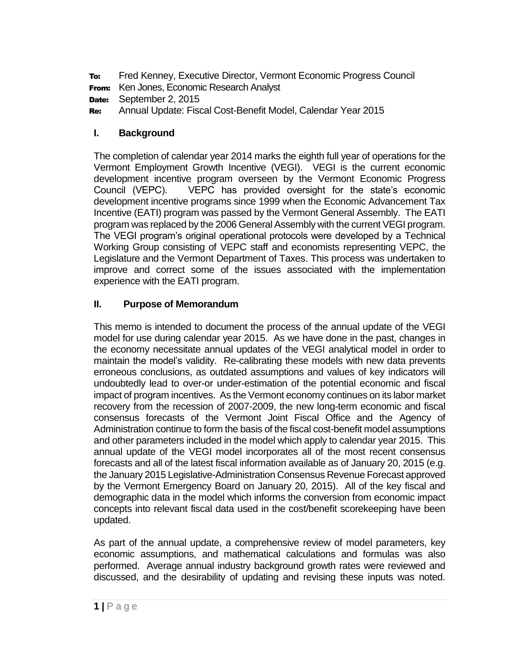To: Fred Kenney, Executive Director, Vermont Economic Progress Council

From: Ken Jones, Economic Research Analyst

Date: September 2, 2015

Re: Annual Update: Fiscal Cost-Benefit Model, Calendar Year 2015

# **I. Background**

The completion of calendar year 2014 marks the eighth full year of operations for the Vermont Employment Growth Incentive (VEGI). VEGI is the current economic development incentive program overseen by the Vermont Economic Progress Council (VEPC). VEPC has provided oversight for the state's economic development incentive programs since 1999 when the Economic Advancement Tax Incentive (EATI) program was passed by the Vermont General Assembly. The EATI program was replaced by the 2006 General Assembly with the current VEGI program. The VEGI program's original operational protocols were developed by a Technical Working Group consisting of VEPC staff and economists representing VEPC, the Legislature and the Vermont Department of Taxes. This process was undertaken to improve and correct some of the issues associated with the implementation experience with the EATI program.

### **II. Purpose of Memorandum**

This memo is intended to document the process of the annual update of the VEGI model for use during calendar year 2015. As we have done in the past, changes in the economy necessitate annual updates of the VEGI analytical model in order to maintain the model's validity. Re-calibrating these models with new data prevents erroneous conclusions, as outdated assumptions and values of key indicators will undoubtedly lead to over-or under-estimation of the potential economic and fiscal impact of program incentives. As the Vermont economy continues on its labor market recovery from the recession of 2007-2009, the new long-term economic and fiscal consensus forecasts of the Vermont Joint Fiscal Office and the Agency of Administration continue to form the basis of the fiscal cost-benefit model assumptions and other parameters included in the model which apply to calendar year 2015. This annual update of the VEGI model incorporates all of the most recent consensus forecasts and all of the latest fiscal information available as of January 20, 2015 (e.g. the January 2015 Legislative-Administration Consensus Revenue Forecast approved by the Vermont Emergency Board on January 20, 2015). All of the key fiscal and demographic data in the model which informs the conversion from economic impact concepts into relevant fiscal data used in the cost/benefit scorekeeping have been updated.

As part of the annual update, a comprehensive review of model parameters, key economic assumptions, and mathematical calculations and formulas was also performed. Average annual industry background growth rates were reviewed and discussed, and the desirability of updating and revising these inputs was noted.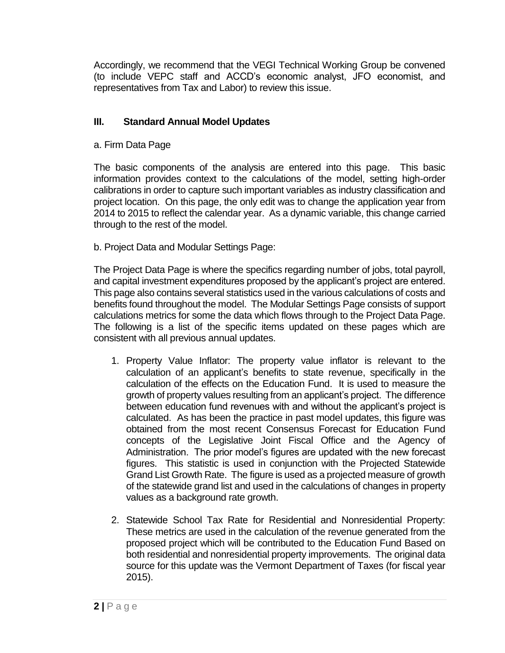Accordingly, we recommend that the VEGI Technical Working Group be convened (to include VEPC staff and ACCD's economic analyst, JFO economist, and representatives from Tax and Labor) to review this issue.

# **III. Standard Annual Model Updates**

a. Firm Data Page

The basic components of the analysis are entered into this page. This basic information provides context to the calculations of the model, setting high-order calibrations in order to capture such important variables as industry classification and project location. On this page, the only edit was to change the application year from 2014 to 2015 to reflect the calendar year. As a dynamic variable, this change carried through to the rest of the model.

b. Project Data and Modular Settings Page:

The Project Data Page is where the specifics regarding number of jobs, total payroll, and capital investment expenditures proposed by the applicant's project are entered. This page also contains several statistics used in the various calculations of costs and benefits found throughout the model. The Modular Settings Page consists of support calculations metrics for some the data which flows through to the Project Data Page. The following is a list of the specific items updated on these pages which are consistent with all previous annual updates.

- 1. Property Value Inflator: The property value inflator is relevant to the calculation of an applicant's benefits to state revenue, specifically in the calculation of the effects on the Education Fund. It is used to measure the growth of property values resulting from an applicant's project. The difference between education fund revenues with and without the applicant's project is calculated. As has been the practice in past model updates, this figure was obtained from the most recent Consensus Forecast for Education Fund concepts of the Legislative Joint Fiscal Office and the Agency of Administration. The prior model's figures are updated with the new forecast figures. This statistic is used in conjunction with the Projected Statewide Grand List Growth Rate. The figure is used as a projected measure of growth of the statewide grand list and used in the calculations of changes in property values as a background rate growth.
- 2. Statewide School Tax Rate for Residential and Nonresidential Property: These metrics are used in the calculation of the revenue generated from the proposed project which will be contributed to the Education Fund Based on both residential and nonresidential property improvements. The original data source for this update was the Vermont Department of Taxes (for fiscal year 2015).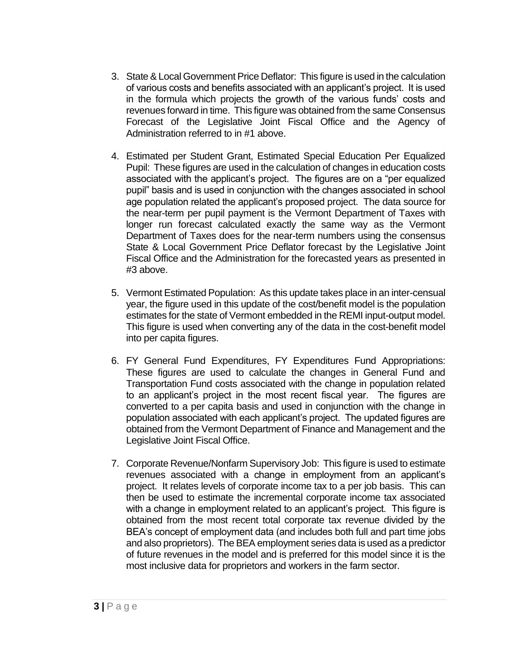- 3. State & Local Government Price Deflator: This figure is used in the calculation of various costs and benefits associated with an applicant's project. It is used in the formula which projects the growth of the various funds' costs and revenues forward in time. This figure was obtained from the same Consensus Forecast of the Legislative Joint Fiscal Office and the Agency of Administration referred to in #1 above.
- 4. Estimated per Student Grant, Estimated Special Education Per Equalized Pupil: These figures are used in the calculation of changes in education costs associated with the applicant's project. The figures are on a "per equalized pupil" basis and is used in conjunction with the changes associated in school age population related the applicant's proposed project. The data source for the near-term per pupil payment is the Vermont Department of Taxes with longer run forecast calculated exactly the same way as the Vermont Department of Taxes does for the near-term numbers using the consensus State & Local Government Price Deflator forecast by the Legislative Joint Fiscal Office and the Administration for the forecasted years as presented in #3 above.
- 5. Vermont Estimated Population: As this update takes place in an inter-censual year, the figure used in this update of the cost/benefit model is the population estimates for the state of Vermont embedded in the REMI input-output model. This figure is used when converting any of the data in the cost-benefit model into per capita figures.
- 6. FY General Fund Expenditures, FY Expenditures Fund Appropriations: These figures are used to calculate the changes in General Fund and Transportation Fund costs associated with the change in population related to an applicant's project in the most recent fiscal year. The figures are converted to a per capita basis and used in conjunction with the change in population associated with each applicant's project. The updated figures are obtained from the Vermont Department of Finance and Management and the Legislative Joint Fiscal Office.
- 7. Corporate Revenue/Nonfarm Supervisory Job: This figure is used to estimate revenues associated with a change in employment from an applicant's project. It relates levels of corporate income tax to a per job basis. This can then be used to estimate the incremental corporate income tax associated with a change in employment related to an applicant's project. This figure is obtained from the most recent total corporate tax revenue divided by the BEA's concept of employment data (and includes both full and part time jobs and also proprietors). The BEA employment series data is used as a predictor of future revenues in the model and is preferred for this model since it is the most inclusive data for proprietors and workers in the farm sector.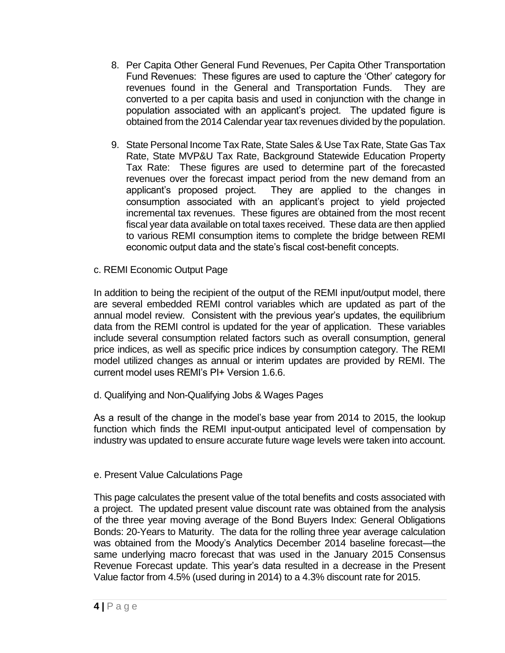- 8. Per Capita Other General Fund Revenues, Per Capita Other Transportation Fund Revenues: These figures are used to capture the 'Other' category for revenues found in the General and Transportation Funds. They are converted to a per capita basis and used in conjunction with the change in population associated with an applicant's project. The updated figure is obtained from the 2014 Calendar year tax revenues divided by the population.
- 9. State Personal Income Tax Rate, State Sales & Use Tax Rate, State Gas Tax Rate, State MVP&U Tax Rate, Background Statewide Education Property Tax Rate: These figures are used to determine part of the forecasted revenues over the forecast impact period from the new demand from an applicant's proposed project. They are applied to the changes in consumption associated with an applicant's project to yield projected incremental tax revenues. These figures are obtained from the most recent fiscal year data available on total taxes received. These data are then applied to various REMI consumption items to complete the bridge between REMI economic output data and the state's fiscal cost-benefit concepts.
- c. REMI Economic Output Page

In addition to being the recipient of the output of the REMI input/output model, there are several embedded REMI control variables which are updated as part of the annual model review. Consistent with the previous year's updates, the equilibrium data from the REMI control is updated for the year of application. These variables include several consumption related factors such as overall consumption, general price indices, as well as specific price indices by consumption category. The REMI model utilized changes as annual or interim updates are provided by REMI. The current model uses REMI's PI+ Version 1.6.6.

d. Qualifying and Non-Qualifying Jobs & Wages Pages

As a result of the change in the model's base year from 2014 to 2015, the lookup function which finds the REMI input-output anticipated level of compensation by industry was updated to ensure accurate future wage levels were taken into account.

e. Present Value Calculations Page

This page calculates the present value of the total benefits and costs associated with a project. The updated present value discount rate was obtained from the analysis of the three year moving average of the Bond Buyers Index: General Obligations Bonds: 20-Years to Maturity. The data for the rolling three year average calculation was obtained from the Moody's Analytics December 2014 baseline forecast—the same underlying macro forecast that was used in the January 2015 Consensus Revenue Forecast update. This year's data resulted in a decrease in the Present Value factor from 4.5% (used during in 2014) to a 4.3% discount rate for 2015.